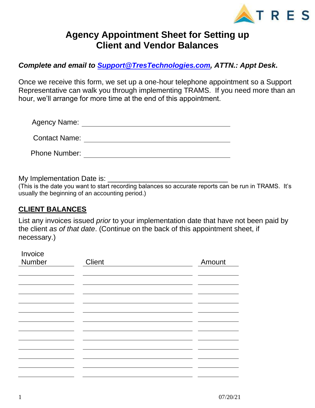

## **Agency Appointment Sheet for Setting up Client and Vendor Balances**

*Complete and email to [Support@TresTechnologies.com,](mailto:Support@TresTechnologies.com) ATTN.: Appt Desk***.** 

Once we receive this form, we set up a one-hour telephone appointment so a Support Representative can walk you through implementing TRAMS. If you need more than an hour, we'll arrange for more time at the end of this appointment.

| <b>Agency Name:</b>  |  |
|----------------------|--|
| <b>Contact Name:</b> |  |
| Phone Number:        |  |

My Implementation Date is:

(This is the date you want to start recording balances so accurate reports can be run in TRAMS. It's usually the beginning of an accounting period.)

## **CLIENT BALANCES**

Invoice

List any invoices issued *prior* to your implementation date that have not been paid by the client *as of that date*. (Continue on the back of this appointment sheet, if necessary.)

| <b>THANNE</b><br>Number | Client | Amount |
|-------------------------|--------|--------|
|                         |        |        |
|                         |        |        |
|                         |        |        |
|                         |        |        |
|                         |        |        |
|                         |        |        |
|                         |        |        |
|                         |        |        |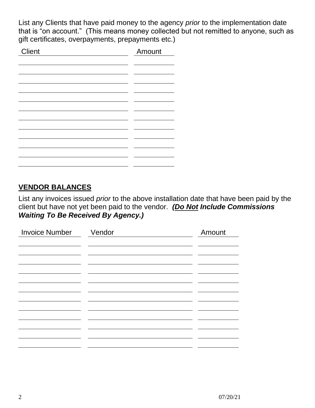List any Clients that have paid money to the agency *prior* to the implementation date that is "on account." (This means money collected but not remitted to anyone, such as gift certificates, overpayments, prepayments etc.)

## **VENDOR BALANCES**

List any invoices issued *prior* to the above installation date that have been paid by the client but have not yet been paid to the vendor. *(Do Not Include Commissions Waiting To Be Received By Agency.)*

| <b>Invoice Number</b> | Vendor | Amount |
|-----------------------|--------|--------|
|                       |        |        |
|                       |        |        |
|                       |        |        |
|                       |        |        |
|                       |        |        |
|                       |        |        |
|                       |        |        |
|                       |        |        |
|                       |        |        |
|                       |        |        |
|                       |        |        |
|                       |        |        |
|                       |        |        |
|                       |        |        |